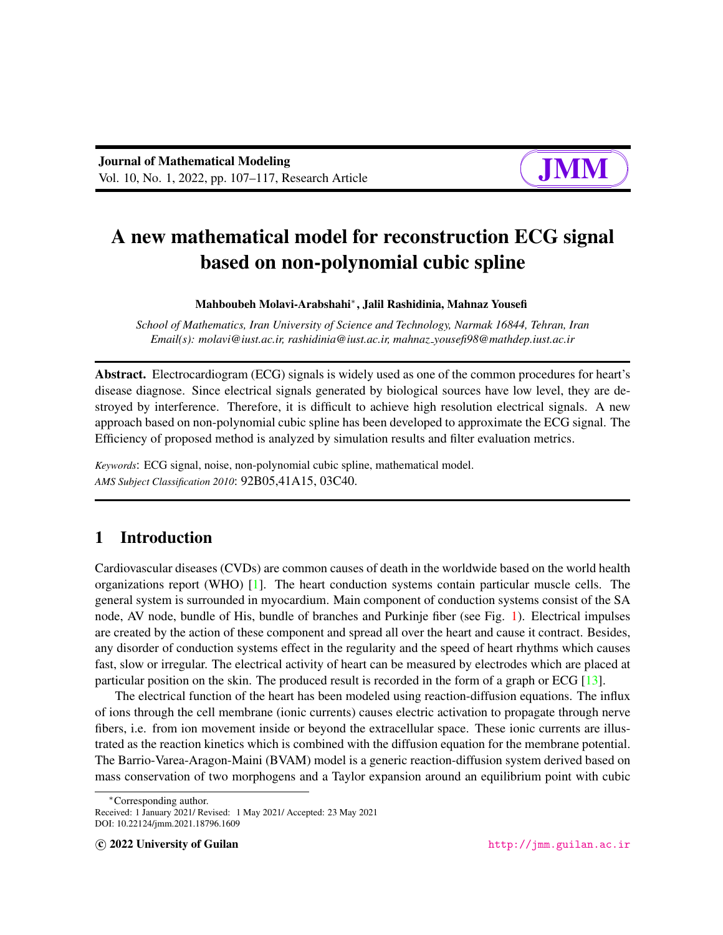

# A new mathematical model for reconstruction ECG signal based on non-polynomial cubic spline

Mahboubeh Molavi-Arabshahi<sup>∗</sup> , Jalil Rashidinia, Mahnaz Yousefi

*School of Mathematics, Iran University of Science and Technology, Narmak 16844, Tehran, Iran Email(s): molavi@iust.ac.ir, rashidinia@iust.ac.ir, mahnaz yousefi98@mathdep.iust.ac.ir*

Abstract. Electrocardiogram (ECG) signals is widely used as one of the common procedures for heart's disease diagnose. Since electrical signals generated by biological sources have low level, they are destroyed by interference. Therefore, it is difficult to achieve high resolution electrical signals. A new approach based on non-polynomial cubic spline has been developed to approximate the ECG signal. The Efficiency of proposed method is analyzed by simulation results and filter evaluation metrics.

*Keywords*: ECG signal, noise, non-polynomial cubic spline, mathematical model. *AMS Subject Classification 2010*: 92B05,41A15, 03C40.

## 1 Introduction

Cardiovascular diseases (CVDs) are common causes of death in the worldwide based on the world health organizations report (WHO) [\[1\]](#page-9-0). The heart conduction systems contain particular muscle cells. The general system is surrounded in myocardium. Main component of conduction systems consist of the SA node, AV node, bundle of His, bundle of branches and Purkinje fiber (see Fig. [1\)](#page-1-0). Electrical impulses are created by the action of these component and spread all over the heart and cause it contract. Besides, any disorder of conduction systems effect in the regularity and the speed of heart rhythms which causes fast, slow or irregular. The electrical activity of heart can be measured by electrodes which are placed at particular position on the skin. The produced result is recorded in the form of a graph or ECG [\[13\]](#page-9-1).

The electrical function of the heart has been modeled using reaction-diffusion equations. The influx of ions through the cell membrane (ionic currents) causes electric activation to propagate through nerve fibers, i.e. from ion movement inside or beyond the extracellular space. These ionic currents are illustrated as the reaction kinetics which is combined with the diffusion equation for the membrane potential. The Barrio-Varea-Aragon-Maini (BVAM) model is a generic reaction-diffusion system derived based on mass conservation of two morphogens and a Taylor expansion around an equilibrium point with cubic

<sup>∗</sup>Corresponding author.

Received: 1 January 2021/ Revised: 1 May 2021/ Accepted: 23 May 2021 DOI: 10.22124/jmm.2021.18796.1609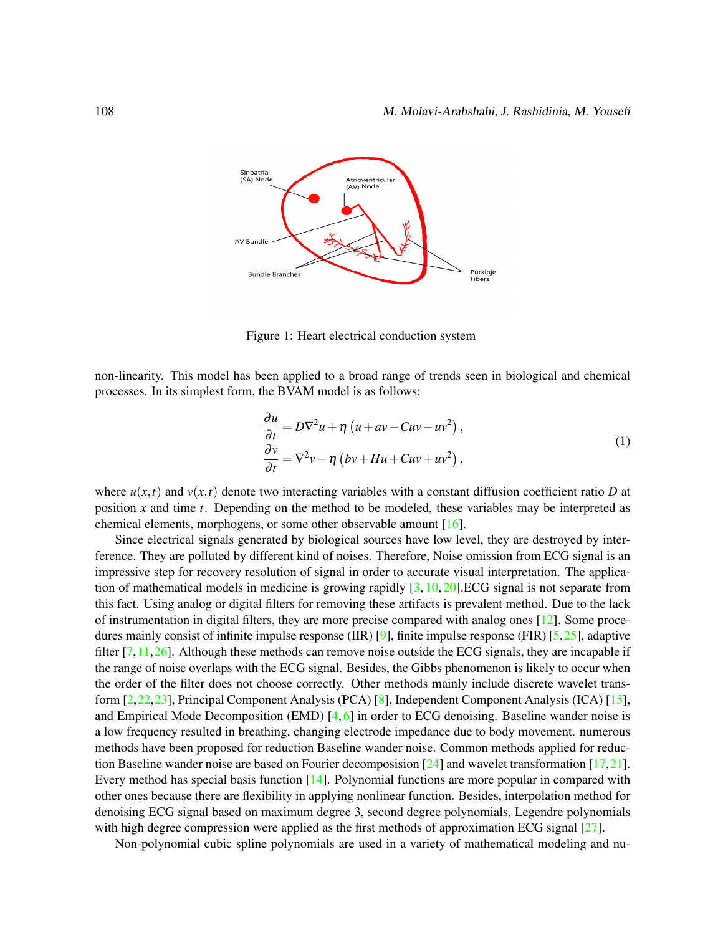

<span id="page-1-0"></span>Figure 1: Heart electrical conduction system

non-linearity. This model has been applied to a broad range of trends seen in biological and chemical processes. In its simplest form, the BVAM model is as follows:

$$
\frac{\partial u}{\partial t} = D\nabla^2 u + \eta \left( u + av - Cuv - uv^2 \right),\n\frac{\partial v}{\partial t} = \nabla^2 v + \eta \left( bv + Hu + Cuv + uv^2 \right),
$$
\n(1)

where  $u(x,t)$  and  $v(x,t)$  denote two interacting variables with a constant diffusion coefficient ratio *D* at position *x* and time *t*. Depending on the method to be modeled, these variables may be interpreted as chemical elements, morphogens, or some other observable amount [\[16\]](#page-10-0).

Since electrical signals generated by biological sources have low level, they are destroyed by interference. They are polluted by different kind of noises. Therefore, Noise omission from ECG signal is an impressive step for recovery resolution of signal in order to accurate visual interpretation. The application of mathematical models in medicine is growing rapidly  $[3, 10, 20]$  $[3, 10, 20]$  $[3, 10, 20]$  $[3, 10, 20]$  $[3, 10, 20]$ . ECG signal is not separate from this fact. Using analog or digital filters for removing these artifacts is prevalent method. Due to the lack of instrumentation in digital filters, they are more precise compared with analog ones [\[12\]](#page-9-4). Some procedures mainly consist of infinite impulse response (IIR) [\[9\]](#page-9-5), finite impulse response (FIR) [\[5,](#page-9-6)[25\]](#page-10-2), adaptive filter  $[7,11,26]$  $[7,11,26]$  $[7,11,26]$ . Although these methods can remove noise outside the ECG signals, they are incapable if the range of noise overlaps with the ECG signal. Besides, the Gibbs phenomenon is likely to occur when the order of the filter does not choose correctly. Other methods mainly include discrete wavelet transform [\[2,](#page-9-9)[22,](#page-10-4)[23\]](#page-10-5), Principal Component Analysis (PCA) [\[8\]](#page-9-10), Independent Component Analysis (ICA) [\[15\]](#page-10-6), and Empirical Mode Decomposition (EMD)  $[4, 6]$  $[4, 6]$  $[4, 6]$  in order to ECG denoising. Baseline wander noise is a low frequency resulted in breathing, changing electrode impedance due to body movement. numerous methods have been proposed for reduction Baseline wander noise. Common methods applied for reduction Baseline wander noise are based on Fourier decomposision  $[24]$  and wavelet transformation  $[17,21]$  $[17,21]$ . Every method has special basis function  $[14]$ . Polynomial functions are more popular in compared with other ones because there are flexibility in applying nonlinear function. Besides, interpolation method for denoising ECG signal based on maximum degree 3, second degree polynomials, Legendre polynomials with high degree compression were applied as the first methods of approximation ECG signal [\[27\]](#page-10-10).

Non-polynomial cubic spline polynomials are used in a variety of mathematical modeling and nu-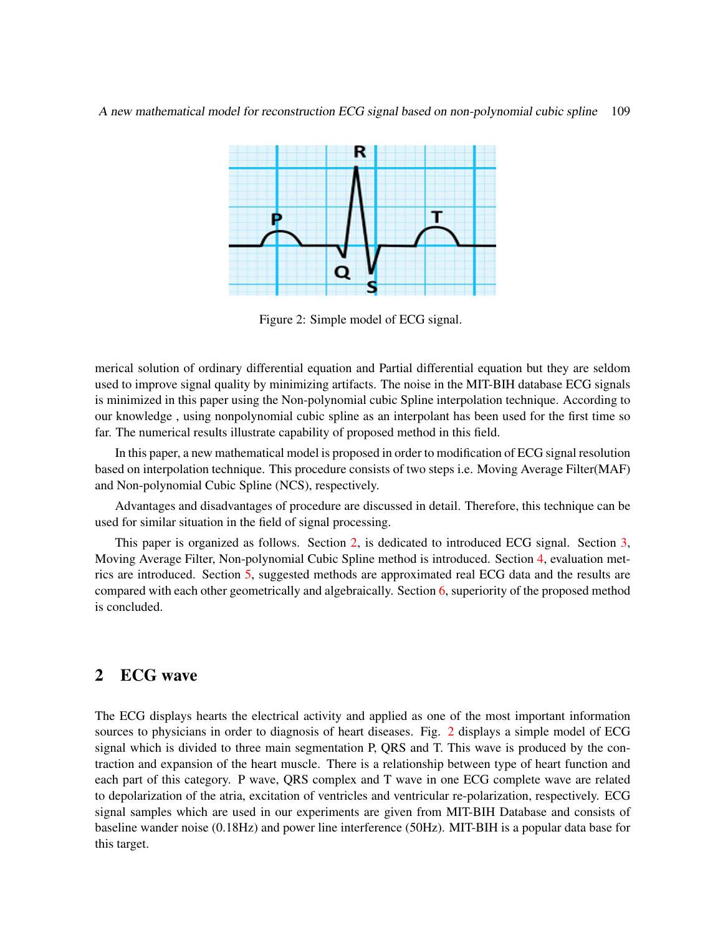

<span id="page-2-1"></span>Figure 2: Simple model of ECG signal.

merical solution of ordinary differential equation and Partial differential equation but they are seldom used to improve signal quality by minimizing artifacts. The noise in the MIT-BIH database ECG signals is minimized in this paper using the Non-polynomial cubic Spline interpolation technique. According to our knowledge , using nonpolynomial cubic spline as an interpolant has been used for the first time so far. The numerical results illustrate capability of proposed method in this field.

In this paper, a new mathematical model is proposed in order to modification of ECG signal resolution based on interpolation technique. This procedure consists of two steps i.e. Moving Average Filter(MAF) and Non-polynomial Cubic Spline (NCS), respectively.

Advantages and disadvantages of procedure are discussed in detail. Therefore, this technique can be used for similar situation in the field of signal processing.

This paper is organized as follows. Section [2,](#page-2-0) is dedicated to introduced ECG signal. Section [3,](#page-3-0) Moving Average Filter, Non-polynomial Cubic Spline method is introduced. Section [4,](#page-5-0) evaluation metrics are introduced. Section [5,](#page-6-0) suggested methods are approximated real ECG data and the results are compared with each other geometrically and algebraically. Section [6,](#page-8-0) superiority of the proposed method is concluded.

## <span id="page-2-0"></span>2 ECG wave

The ECG displays hearts the electrical activity and applied as one of the most important information sources to physicians in order to diagnosis of heart diseases. Fig. [2](#page-2-1) displays a simple model of ECG signal which is divided to three main segmentation P, QRS and T. This wave is produced by the contraction and expansion of the heart muscle. There is a relationship between type of heart function and each part of this category. P wave, QRS complex and T wave in one ECG complete wave are related to depolarization of the atria, excitation of ventricles and ventricular re-polarization, respectively. ECG signal samples which are used in our experiments are given from MIT-BIH Database and consists of baseline wander noise (0.18Hz) and power line interference (50Hz). MIT-BIH is a popular data base for this target.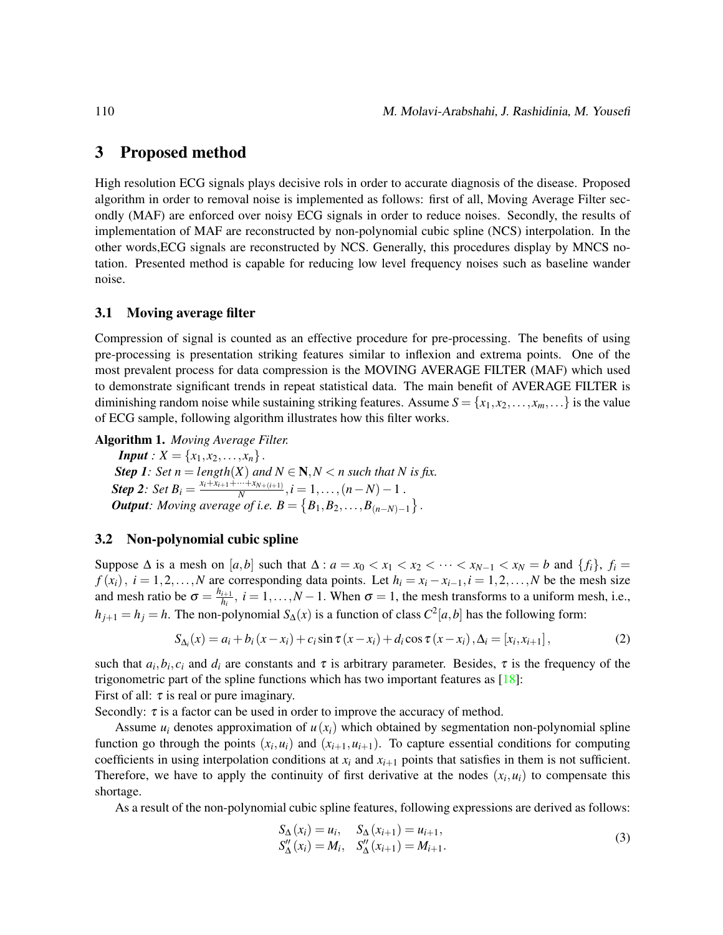## <span id="page-3-0"></span>3 Proposed method

High resolution ECG signals plays decisive rols in order to accurate diagnosis of the disease. Proposed algorithm in order to removal noise is implemented as follows: first of all, Moving Average Filter secondly (MAF) are enforced over noisy ECG signals in order to reduce noises. Secondly, the results of implementation of MAF are reconstructed by non-polynomial cubic spline (NCS) interpolation. In the other words,ECG signals are reconstructed by NCS. Generally, this procedures display by MNCS notation. Presented method is capable for reducing low level frequency noises such as baseline wander noise.

#### 3.1 Moving average filter

Compression of signal is counted as an effective procedure for pre-processing. The benefits of using pre-processing is presentation striking features similar to inflexion and extrema points. One of the most prevalent process for data compression is the MOVING AVERAGE FILTER (MAF) which used to demonstrate significant trends in repeat statistical data. The main benefit of AVERAGE FILTER is diminishing random noise while sustaining striking features. Assume  $S = \{x_1, x_2, \dots, x_m, \dots\}$  is the value of ECG sample, following algorithm illustrates how this filter works.

Algorithm 1. *Moving Average Filter.*

*Input* :  $X = \{x_1, x_2, \ldots, x_n\}$ . *Step 1: Set n* = *length*(*X*) *and*  $N \in \mathbb{N}, N \le n$  *such that*  $N$  *is fix.* **Step 2**: Set  $B_i = \frac{x_i + \overline{x_{i+1}} + \cdots + x_{N+(i+1)}}{N}$  $\frac{m+n_{N+(i+1)}}{N}, i = 1, \ldots, (n-N)-1$  *. Output: Moving average of i.e.*  $B = \{B_1, B_2, \ldots, B_{(n-N)-1}\}$ .

#### 3.2 Non-polynomial cubic spline

Suppose  $\Delta$  is a mesh on  $[a, b]$  such that  $\Delta : a = x_0 < x_1 < x_2 < \cdots < x_{N-1} < x_N = b$  and  $\{f_i\}, f_i =$  $f(x_i)$ ,  $i = 1, 2, \ldots, N$  are corresponding data points. Let  $h_i = x_i - x_{i-1}, i = 1, 2, \ldots, N$  be the mesh size and mesh ratio be  $\sigma = \frac{h_{i+1}}{h_i}$  $\frac{i+1}{h_i}$ ,  $i = 1, ..., N-1$ . When  $\sigma = 1$ , the mesh transforms to a uniform mesh, i.e.,  $h_{j+1} = h_j = h$ . The non-polynomial  $S_\Delta(x)$  is a function of class  $C^2[a,b]$  has the following form:

$$
S_{\Delta_i}(x) = a_i + b_i (x - x_i) + c_i \sin \tau (x - x_i) + d_i \cos \tau (x - x_i), \Delta_i = [x_i, x_{i+1}],
$$
 (2)

<span id="page-3-1"></span>such that  $a_i, b_i, c_i$  and  $d_i$  are constants and  $\tau$  is arbitrary parameter. Besides,  $\tau$  is the frequency of the trigonometric part of the spline functions which has two important features as  $[18]$ : First of all:  $\tau$  is real or pure imaginary.

Secondly:  $\tau$  is a factor can be used in order to improve the accuracy of method.

Assume  $u_i$  denotes approximation of  $u(x_i)$  which obtained by segmentation non-polynomial spline function go through the points  $(x_i, u_i)$  and  $(x_{i+1}, u_{i+1})$ . To capture essential conditions for computing coefficients in using interpolation conditions at  $x_i$  and  $x_{i+1}$  points that satisfies in them is not sufficient. Therefore, we have to apply the continuity of first derivative at the nodes  $(x_i, u_i)$  to compensate this shortage.

As a result of the non-polynomial cubic spline features, following expressions are derived as follows:

$$
S_{\Delta}(x_i) = u_i, \quad S_{\Delta}(x_{i+1}) = u_{i+1}, S_{\Delta}'(x_i) = M_i, \quad S_{\Delta}'(x_{i+1}) = M_{i+1}.
$$
 (3)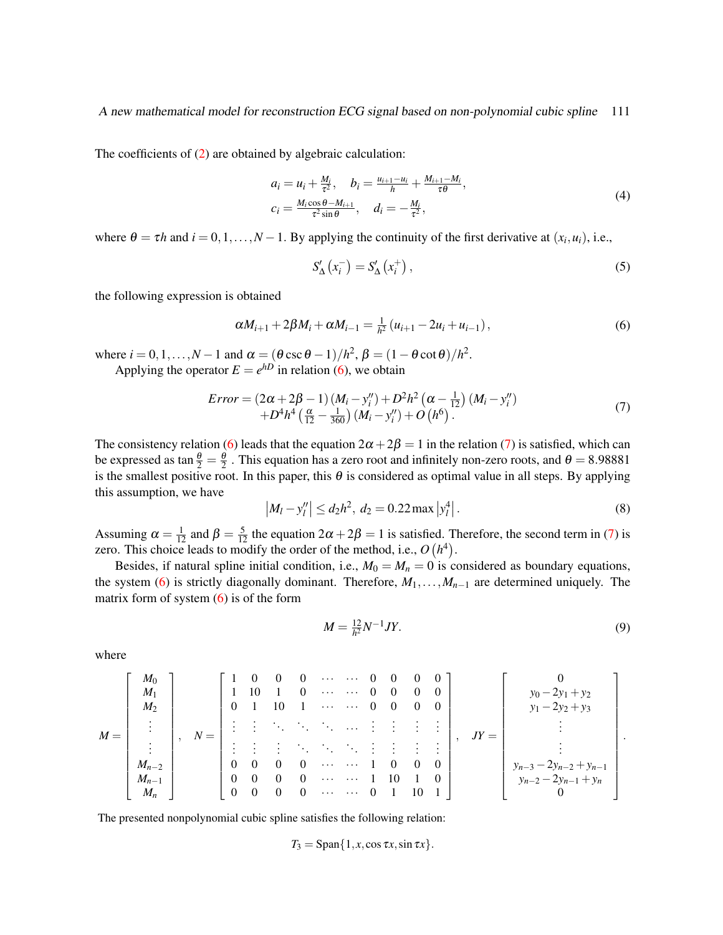The coefficients of [\(2\)](#page-3-1) are obtained by algebraic calculation:

$$
a_i = u_i + \frac{M_i}{\tau^2}, \quad b_i = \frac{u_{i+1} - u_i}{h} + \frac{M_{i+1} - M_i}{\tau \theta},
$$
  
\n
$$
c_i = \frac{M_i \cos \theta - M_{i+1}}{\tau^2 \sin \theta}, \quad d_i = -\frac{M_i}{\tau^2},
$$
\n(4)

where  $\theta = \tau h$  and  $i = 0, 1, ..., N - 1$ . By applying the continuity of the first derivative at  $(x_i, u_i)$ , i.e.,

$$
S'_{\Delta}\left(x_i^-\right) = S'_{\Delta}\left(x_i^+\right),\tag{5}
$$

the following expression is obtained

<span id="page-4-0"></span>
$$
\alpha M_{i+1} + 2\beta M_i + \alpha M_{i-1} = \frac{1}{h^2} (u_{i+1} - 2u_i + u_{i-1}),
$$
\n(6)

where  $i = 0, 1, ..., N - 1$  and  $\alpha = (\theta \csc \theta - 1)/h^2$ ,  $\beta = (1 - \theta \cot \theta)/h^2$ .

Applying the operator  $E = e^{hD}$  in relation [\(6\)](#page-4-0), we obtain

<span id="page-4-1"></span>
$$
Error = (2\alpha + 2\beta - 1)(M_i - y_i'') + D^2 h^2 (\alpha - \frac{1}{12}) (M_i - y_i'') + D^4 h^4 (\frac{\alpha}{12} - \frac{1}{360}) (M_i - y_i'') + O(h^6).
$$
\n(7)

The consistency relation [\(6\)](#page-4-0) leads that the equation  $2\alpha + 2\beta = 1$  in the relation [\(7\)](#page-4-1) is satisfied, which can be expressed as tan  $\frac{\theta}{2} = \frac{\theta}{2}$ . This equation has a zero root and infinitely non-zero roots, and  $\theta = 8.98881$ is the smallest positive root. In this paper, this  $\theta$  is considered as optimal value in all steps. By applying this assumption, we have

$$
|M_l - y_l''| \le d_2 h^2, \ d_2 = 0.22 \max |y_l^4|.
$$
 (8)

Assuming  $\alpha = \frac{1}{12}$  and  $\beta = \frac{5}{12}$  the equation  $2\alpha + 2\beta = 1$  is satisfied. Therefore, the second term in [\(7\)](#page-4-1) is zero. This choice leads to modify the order of the method, i.e.,  $O(h^4)$ .

Besides, if natural spline initial condition, i.e.,  $M_0 = M_n = 0$  is considered as boundary equations, the system [\(6\)](#page-4-0) is strictly diagonally dominant. Therefore,  $M_1, \ldots, M_{n-1}$  are determined uniquely. The matrix form of system  $(6)$  is of the form

$$
M = \frac{12}{h^2} N^{-1} J Y.
$$
 (9)

where

$$
M = \begin{bmatrix} M_0 \\ M_1 \\ M_2 \\ \vdots \\ M_{n-2} \\ M_{n-1} \\ M_n \end{bmatrix}, N = \begin{bmatrix} 1 & 0 & 0 & 0 & \cdots & \cdots & 0 & 0 & 0 & 0 \\ 1 & 10 & 1 & 0 & \cdots & \cdots & 0 & 0 & 0 & 0 \\ 0 & 1 & 10 & 1 & \cdots & \cdots & 0 & 0 & 0 & 0 \\ \vdots & \vdots & \ddots & \ddots & \ddots & \ddots & \vdots & \vdots & \vdots & \vdots \\ \vdots & \vdots & \vdots & \ddots & \ddots & \ddots & \vdots & \vdots & \vdots \\ 0 & 0 & 0 & 0 & \cdots & \cdots & 1 & 0 & 0 & 0 \\ 0 & 0 & 0 & 0 & \cdots & \cdots & 1 & 10 & 1 & 0 \\ 0 & 0 & 0 & 0 & \cdots & \cdots & 0 & 1 & 10 & 1 \end{bmatrix}, N = \begin{bmatrix} 0 \\ y_0 - 2y_1 + y_2 \\ y_1 - 2y_2 + y_3 \\ \vdots \\ y_{n-3} - 2y_{n-2} + y_{n-1} \\ y_{n-2} - 2y_{n-1} + y_n \\ 0 \end{bmatrix}.
$$

The presented nonpolynomial cubic spline satisfies the following relation:

$$
T_3 = \mathrm{Span}\{1, x, \cos \tau x, \sin \tau x\}.
$$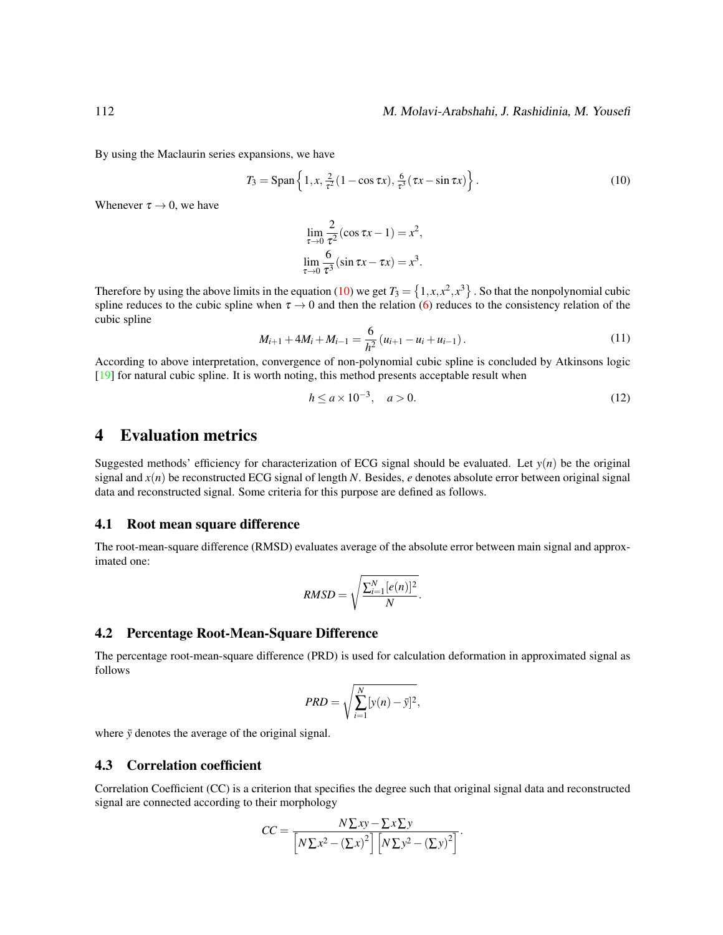By using the Maclaurin series expansions, we have

<span id="page-5-1"></span>
$$
T_3 = \text{Span}\left\{1, x, \frac{2}{\tau^2}(1 - \cos \tau x), \frac{6}{\tau^3}(\tau x - \sin \tau x)\right\}.
$$
 (10)

Whenever  $\tau \rightarrow 0$ , we have

$$
\lim_{\tau \to 0} \frac{2}{\tau^2} (\cos \tau x - 1) = x^2,
$$
  

$$
\lim_{\tau \to 0} \frac{6}{\tau^3} (\sin \tau x - \tau x) = x^3.
$$

Therefore by using the above limits in the equation [\(10\)](#page-5-1) we get  $T_3 = \{1, x, x^2, x^3\}$ . So that the nonpolynomial cubic spline reduces to the cubic spline when  $\tau \to 0$  and then the relation [\(6\)](#page-4-0) reduces to the consistency relation of the cubic spline

$$
M_{i+1} + 4M_i + M_{i-1} = \frac{6}{h^2} (u_{i+1} - u_i + u_{i-1}).
$$
\n(11)

According to above interpretation, convergence of non-polynomial cubic spline is concluded by Atkinsons logic [\[19\]](#page-10-12) for natural cubic spline. It is worth noting, this method presents acceptable result when

$$
h \le a \times 10^{-3}, \quad a > 0. \tag{12}
$$

## <span id="page-5-0"></span>4 Evaluation metrics

Suggested methods' efficiency for characterization of ECG signal should be evaluated. Let  $y(n)$  be the original signal and *x*(*n*) be reconstructed ECG signal of length *N*. Besides, *e* denotes absolute error between original signal data and reconstructed signal. Some criteria for this purpose are defined as follows.

#### 4.1 Root mean square difference

The root-mean-square difference (RMSD) evaluates average of the absolute error between main signal and approximated one:

$$
RMSD = \sqrt{\frac{\sum_{i=1}^{N} [e(n)]^2}{N}}.
$$

#### 4.2 Percentage Root-Mean-Square Difference

The percentage root-mean-square difference (PRD) is used for calculation deformation in approximated signal as follows

$$
PRD = \sqrt{\sum_{i=1}^{N} [y(n) - \bar{y}]^2},
$$

where  $\bar{y}$  denotes the average of the original signal.

#### 4.3 Correlation coefficient

Correlation Coefficient (CC) is a criterion that specifies the degree such that original signal data and reconstructed signal are connected according to their morphology

$$
CC = \frac{N\Sigma xy - \Sigma x \Sigma y}{\left[N\Sigma x^2 - (\Sigma x)^2\right] \left[N\Sigma y^2 - (\Sigma y)^2\right]}.
$$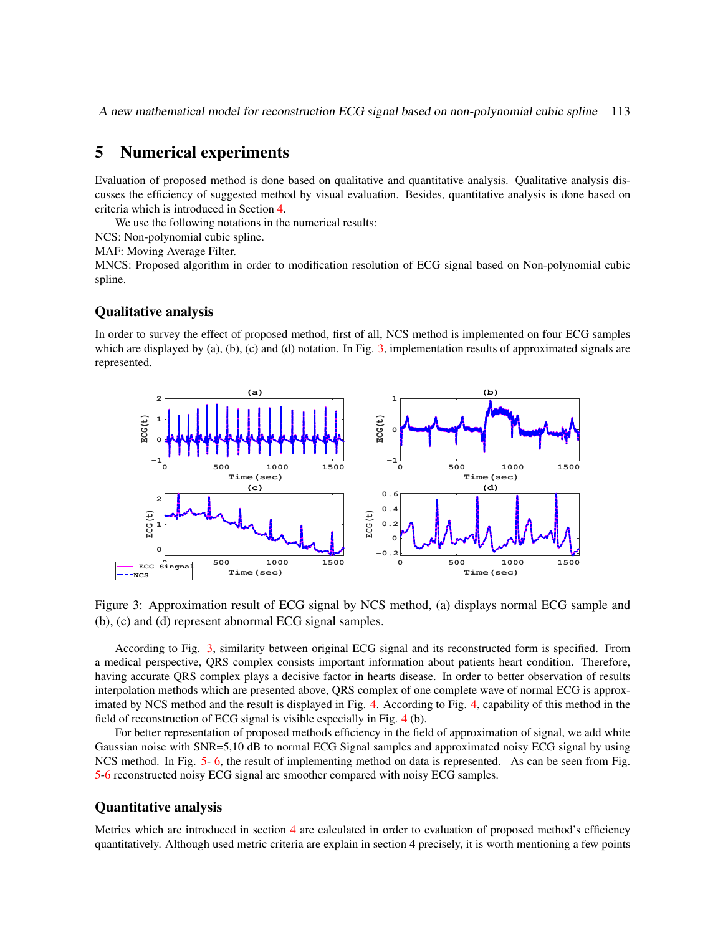A new mathematical model for reconstruction ECG signal based on non-polynomial cubic spline 113

## <span id="page-6-0"></span>5 Numerical experiments

Evaluation of proposed method is done based on qualitative and quantitative analysis. Qualitative analysis discusses the efficiency of suggested method by visual evaluation. Besides, quantitative analysis is done based on criteria which is introduced in Section [4.](#page-5-0)

We use the following notations in the numerical results:

NCS: Non-polynomial cubic spline.

MAF: Moving Average Filter.

MNCS: Proposed algorithm in order to modification resolution of ECG signal based on Non-polynomial cubic spline.

#### Qualitative analysis

In order to survey the effect of proposed method, first of all, NCS method is implemented on four ECG samples which are displayed by (a), (b), (c) and (d) notation. In Fig. [3,](#page-6-1) implementation results of approximated signals are represented.



<span id="page-6-1"></span>Figure 3: Approximation result of ECG signal by NCS method, (a) displays normal ECG sample and (b), (c) and (d) represent abnormal ECG signal samples.

According to Fig. [3,](#page-6-1) similarity between original ECG signal and its reconstructed form is specified. From a medical perspective, QRS complex consists important information about patients heart condition. Therefore, having accurate QRS complex plays a decisive factor in hearts disease. In order to better observation of results interpolation methods which are presented above, QRS complex of one complete wave of normal ECG is approximated by NCS method and the result is displayed in Fig. [4.](#page-7-0) According to Fig. [4,](#page-7-0) capability of this method in the field of reconstruction of ECG signal is visible especially in Fig. [4](#page-7-0) (b).

For better representation of proposed methods efficiency in the field of approximation of signal, we add white Gaussian noise with SNR=5,10 dB to normal ECG Signal samples and approximated noisy ECG signal by using NCS method. In Fig. [5-](#page-7-1) [6,](#page-8-1) the result of implementing method on data is represented. As can be seen from Fig. [5](#page-7-1)[-6](#page-8-1) reconstructed noisy ECG signal are smoother compared with noisy ECG samples.

#### Quantitative analysis

Metrics which are introduced in section [4](#page-5-0) are calculated in order to evaluation of proposed method's efficiency quantitatively. Although used metric criteria are explain in section 4 precisely, it is worth mentioning a few points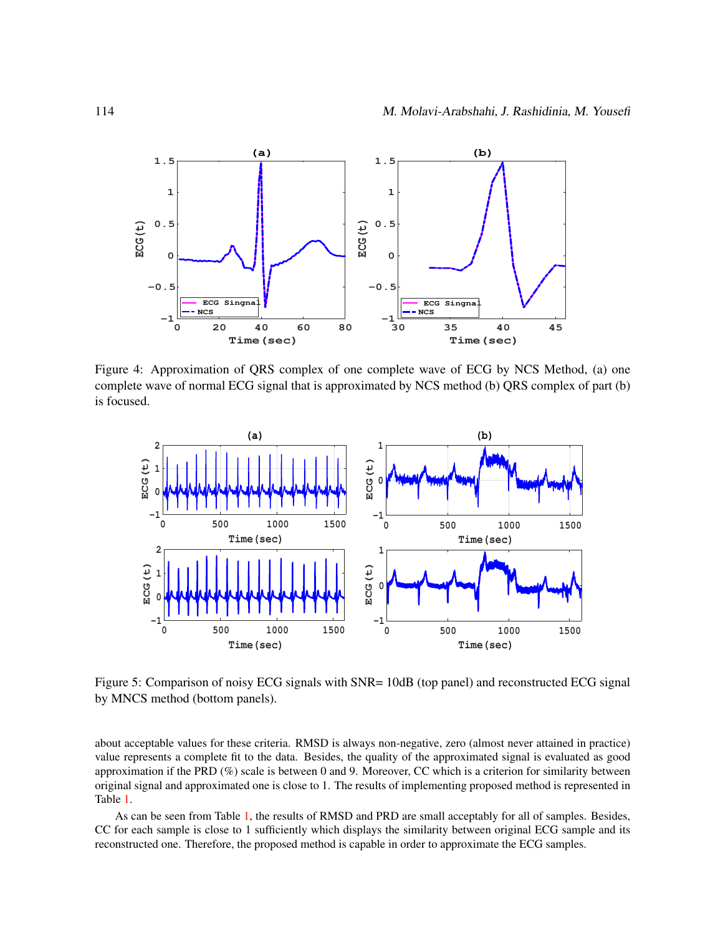

<span id="page-7-0"></span>Figure 4: Approximation of QRS complex of one complete wave of ECG by NCS Method, (a) one complete wave of normal ECG signal that is approximated by NCS method (b) QRS complex of part (b) is focused.



<span id="page-7-1"></span>Figure 5: Comparison of noisy ECG signals with SNR= 10dB (top panel) and reconstructed ECG signal by MNCS method (bottom panels).

about acceptable values for these criteria. RMSD is always non-negative, zero (almost never attained in practice) value represents a complete fit to the data. Besides, the quality of the approximated signal is evaluated as good approximation if the PRD (%) scale is between 0 and 9. Moreover, CC which is a criterion for similarity between original signal and approximated one is close to 1. The results of implementing proposed method is represented in Table [1.](#page-8-2)

As can be seen from Table [1,](#page-8-2) the results of RMSD and PRD are small acceptably for all of samples. Besides, CC for each sample is close to 1 sufficiently which displays the similarity between original ECG sample and its reconstructed one. Therefore, the proposed method is capable in order to approximate the ECG samples.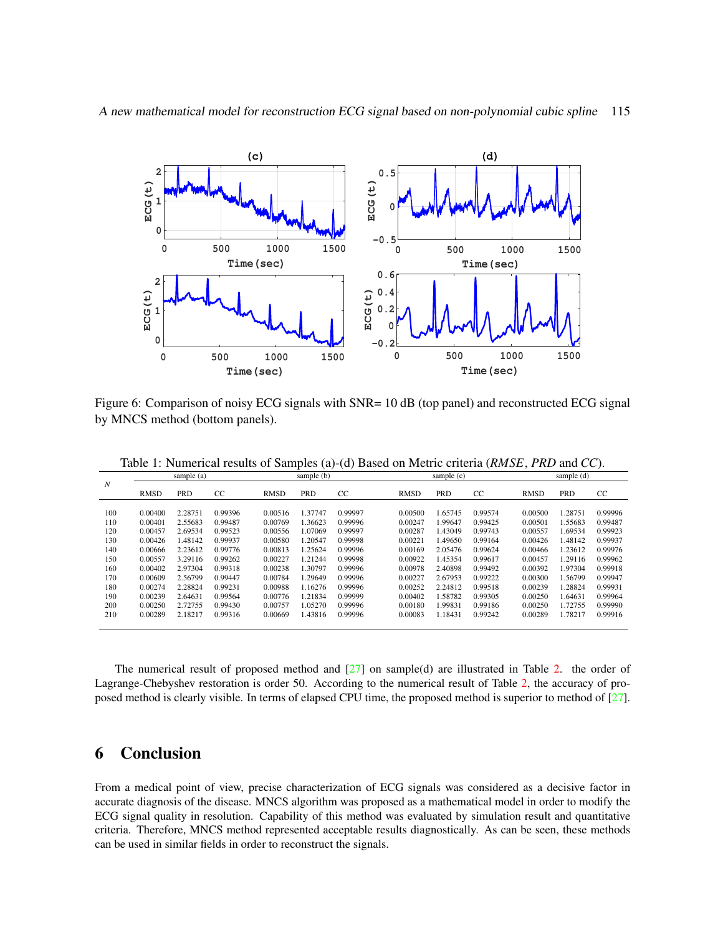

A new mathematical model for reconstruction ECG signal based on non-polynomial cubic spline 115

<span id="page-8-1"></span>Figure 6: Comparison of noisy ECG signals with SNR= 10 dB (top panel) and reconstructed ECG signal by MNCS method (bottom panels).

|                  | sample (a)  |            |         |             | sample (b) |         |  | sample $(c)$ |            |               |             | sample (d) |               |  |
|------------------|-------------|------------|---------|-------------|------------|---------|--|--------------|------------|---------------|-------------|------------|---------------|--|
| $\boldsymbol{N}$ |             |            |         |             |            |         |  |              |            |               |             |            |               |  |
|                  | <b>RMSD</b> | <b>PRD</b> | CC      | <b>RMSD</b> | PRD        | CC      |  | <b>RMSD</b>  | <b>PRD</b> | <sub>CC</sub> | <b>RMSD</b> | PRD        | <sub>CC</sub> |  |
|                  |             |            |         |             |            |         |  |              |            |               |             |            |               |  |
| 100              | 0.00400     | 2.28751    | 0.99396 | 0.00516     | 1.37747    | 0.99997 |  | 0.00500      | 1.65745    | 0.99574       | 0.00500     | 1.28751    | 0.99996       |  |
| 110              | 0.00401     | 2.55683    | 0.99487 | 0.00769     | 1.36623    | 0.99996 |  | 0.00247      | 1.99647    | 0.99425       | 0.00501     | 1.55683    | 0.99487       |  |
| 120              | 0.00457     | 2.69534    | 0.99523 | 0.00556     | 1.07069    | 0.99997 |  | 0.00287      | 1.43049    | 0.99743       | 0.00557     | .69534     | 0.99923       |  |
| 130              | 0.00426     | 1.48142    | 0.99937 | 0.00580     | 1.20547    | 0.99998 |  | 0.00221      | 1.49650    | 0.99164       | 0.00426     | 1.48142    | 0.99937       |  |
| 140              | 0.00666     | 2.23612    | 0.99776 | 0.00813     | 1.25624    | 0.99996 |  | 0.00169      | 2.05476    | 0.99624       | 0.00466     | 1.23612    | 0.99976       |  |
| 150              | 0.00557     | 3.29116    | 0.99262 | 0.00227     | 1.21244    | 0.99998 |  | 0.00922      | 1.45354    | 0.99617       | 0.00457     | 1.29116    | 0.99962       |  |
| 160              | 0.00402     | 2.97304    | 0.99318 | 0.00238     | 1.30797    | 0.99996 |  | 0.00978      | 2.40898    | 0.99492       | 0.00392     | 1.97304    | 0.99918       |  |
| 170              | 0.00609     | 2.56799    | 0.99447 | 0.00784     | 1.29649    | 0.99996 |  | 0.00227      | 2.67953    | 0.99222       | 0.00300     | 1.56799    | 0.99947       |  |
| 180              | 0.00274     | 2.28824    | 0.99231 | 0.00988     | 1.16276    | 0.99996 |  | 0.00252      | 2.24812    | 0.99518       | 0.00239     | 1.28824    | 0.99931       |  |
| 190              | 0.00239     | 2.64631    | 0.99564 | 0.00776     | 1.21834    | 0.99999 |  | 0.00402      | 1.58782    | 0.99305       | 0.00250     | 1.64631    | 0.99964       |  |
| 200              | 0.00250     | 2.72755    | 0.99430 | 0.00757     | 1.05270    | 0.99996 |  | 0.00180      | 1.99831    | 0.99186       | 0.00250     | 1.72755    | 0.99990       |  |
| 210              | 0.00289     | 2.18217    | 0.99316 | 0.00669     | 1.43816    | 0.99996 |  | 0.00083      | 1.18431    | 0.99242       | 0.00289     | 1.78217    | 0.99916       |  |
|                  |             |            |         |             |            |         |  |              |            |               |             |            |               |  |

<span id="page-8-2"></span>Table 1: Numerical results of Samples (a)-(d) Based on Metric criteria (*RMSE*, *PRD* and *CC*).

The numerical result of proposed method and [\[27\]](#page-10-10) on sample(d) are illustrated in Table [2.](#page-9-14) the order of Lagrange-Chebyshev restoration is order 50. According to the numerical result of Table [2,](#page-9-14) the accuracy of proposed method is clearly visible. In terms of elapsed CPU time, the proposed method is superior to method of [\[27\]](#page-10-10).

## <span id="page-8-0"></span>6 Conclusion

From a medical point of view, precise characterization of ECG signals was considered as a decisive factor in accurate diagnosis of the disease. MNCS algorithm was proposed as a mathematical model in order to modify the ECG signal quality in resolution. Capability of this method was evaluated by simulation result and quantitative criteria. Therefore, MNCS method represented acceptable results diagnostically. As can be seen, these methods can be used in similar fields in order to reconstruct the signals.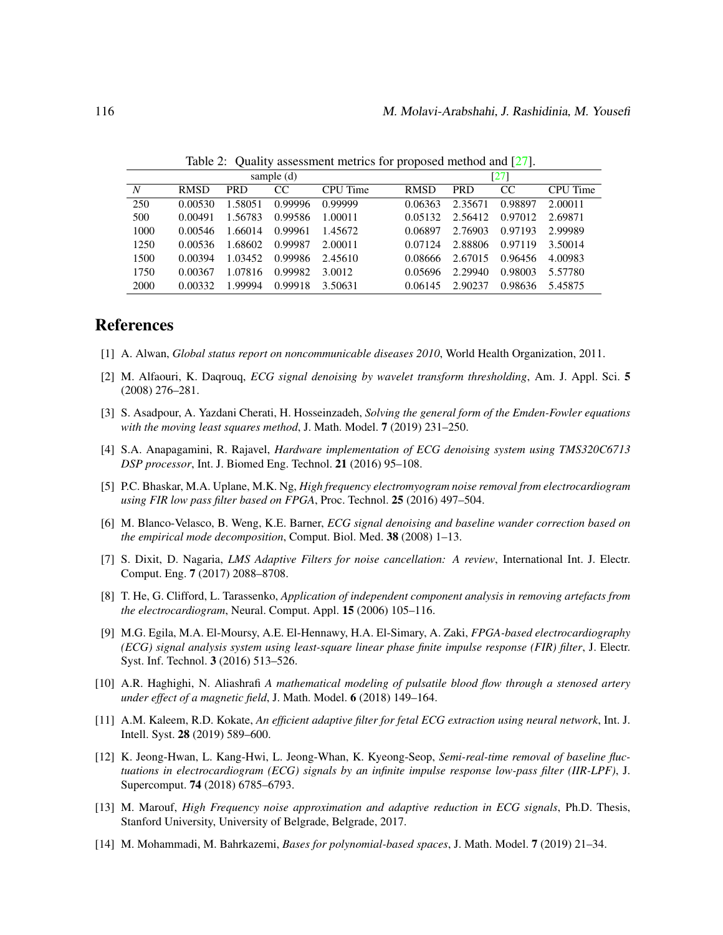|                  |             |            | sample $(d)$ | [27]     |             |            |               |          |
|------------------|-------------|------------|--------------|----------|-------------|------------|---------------|----------|
| $\boldsymbol{N}$ | <b>RMSD</b> | <b>PRD</b> | CC           | CPU Time | <b>RMSD</b> | <b>PRD</b> | <sub>CC</sub> | CPU Time |
| 250              | 0.00530     | 1.58051    | 0.99996      | 0.99999  | 0.06363     | 2.35671    | 0.98897       | 2.00011  |
| 500              | 0.00491     | 1.56783    | 0.99586      | 1.00011  | 0.05132     | 2.56412    | 0.97012       | 2.69871  |
| 1000             | 0.00546     | 1.66014    | 0.99961      | 1.45672  | 0.06897     | 2.76903    | 0.97193       | 2.99989  |
| 1250             | 0.00536     | 1.68602    | 0.99987      | 2.00011  | 0.07124     | 2.88806    | 0.97119       | 3.50014  |
| 1500             | 0.00394     | 1.03452    | 0.99986      | 2.45610  | 0.08666     | 2.67015    | 0.96456       | 4.00983  |
| 1750             | 0.00367     | 1.07816    | 0.99982      | 3.0012   | 0.05696     | 2.29940    | 0.98003       | 5.57780  |
| 2000             | 0.00332     | 1.99994    | 0.99918      | 3.50631  | 0.06145     | 2.90237    | 0.98636       | 5.45875  |

<span id="page-9-14"></span>Table 2: Quality assessment metrics for proposed method and [\[27\]](#page-10-10).

## References

- <span id="page-9-0"></span>[1] A. Alwan, *Global status report on noncommunicable diseases 2010*, World Health Organization, 2011.
- <span id="page-9-9"></span>[2] M. Alfaouri, K. Daqrouq, *ECG signal denoising by wavelet transform thresholding*, Am. J. Appl. Sci. 5 (2008) 276–281.
- <span id="page-9-2"></span>[3] S. Asadpour, A. Yazdani Cherati, H. Hosseinzadeh, *Solving the general form of the Emden-Fowler equations with the moving least squares method*, J. Math. Model. 7 (2019) 231–250.
- <span id="page-9-11"></span>[4] S.A. Anapagamini, R. Rajavel, *Hardware implementation of ECG denoising system using TMS320C6713 DSP processor*, Int. J. Biomed Eng. Technol. 21 (2016) 95–108.
- <span id="page-9-6"></span>[5] P.C. Bhaskar, M.A. Uplane, M.K. Ng, *High frequency electromyogram noise removal from electrocardiogram using FIR low pass filter based on FPGA*, Proc. Technol. 25 (2016) 497–504.
- <span id="page-9-12"></span>[6] M. Blanco-Velasco, B. Weng, K.E. Barner, *ECG signal denoising and baseline wander correction based on the empirical mode decomposition*, Comput. Biol. Med. 38 (2008) 1–13.
- <span id="page-9-7"></span>[7] S. Dixit, D. Nagaria, *LMS Adaptive Filters for noise cancellation: A review*, International Int. J. Electr. Comput. Eng. 7 (2017) 2088–8708.
- <span id="page-9-10"></span>[8] T. He, G. Clifford, L. Tarassenko, *Application of independent component analysis in removing artefacts from the electrocardiogram*, Neural. Comput. Appl. 15 (2006) 105–116.
- <span id="page-9-5"></span>[9] M.G. Egila, M.A. El-Moursy, A.E. El-Hennawy, H.A. El-Simary, A. Zaki, *FPGA-based electrocardiography (ECG) signal analysis system using least-square linear phase finite impulse response (FIR) filter*, J. Electr. Syst. Inf. Technol. 3 (2016) 513–526.
- <span id="page-9-3"></span>[10] A.R. Haghighi, N. Aliashrafi *A mathematical modeling of pulsatile blood flow through a stenosed artery under effect of a magnetic field*, J. Math. Model. 6 (2018) 149–164.
- <span id="page-9-8"></span>[11] A.M. Kaleem, R.D. Kokate, *An efficient adaptive filter for fetal ECG extraction using neural network*, Int. J. Intell. Syst. 28 (2019) 589–600.
- <span id="page-9-4"></span>[12] K. Jeong-Hwan, L. Kang-Hwi, L. Jeong-Whan, K. Kyeong-Seop, *Semi-real-time removal of baseline fluctuations in electrocardiogram (ECG) signals by an infinite impulse response low-pass filter (IIR-LPF)*, J. Supercomput. 74 (2018) 6785–6793.
- <span id="page-9-1"></span>[13] M. Marouf, *High Frequency noise approximation and adaptive reduction in ECG signals*, Ph.D. Thesis, Stanford University, University of Belgrade, Belgrade, 2017.
- <span id="page-9-13"></span>[14] M. Mohammadi, M. Bahrkazemi, *Bases for polynomial-based spaces*, J. Math. Model. 7 (2019) 21–34.